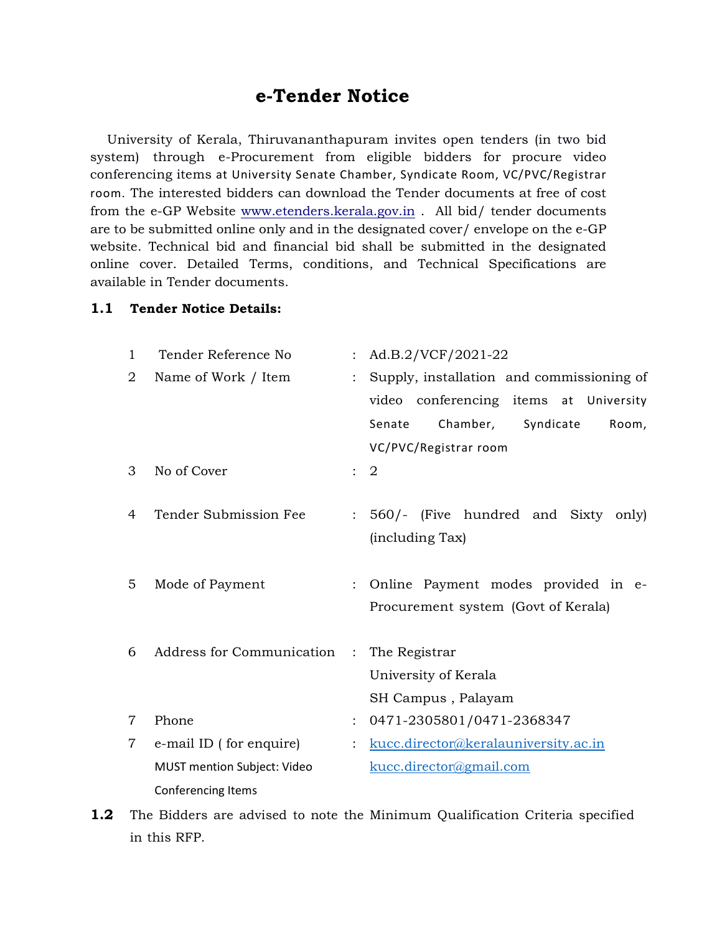## e-Tender Notice

 University of Kerala, Thiruvananthapuram invites open tenders (in two bid system) through e-Procurement from eligible bidders for procure video conferencing items at University Senate Chamber, Syndicate Room, VC/PVC/Registrar room. The interested bidders can download the Tender documents at free of cost from the e-GP Website www.etenders.kerala.gov.in . All bid/ tender documents are to be submitted online only and in the designated cover/ envelope on the e-GP website. Technical bid and financial bid shall be submitted in the designated online cover. Detailed Terms, conditions, and Technical Specifications are available in Tender documents.

## 1.1 Tender Notice Details:

| $\mathbf{1}$   | Tender Reference No                | : Ad.B.2/VCF/2021-22                      |
|----------------|------------------------------------|-------------------------------------------|
| 2              | Name of Work / Item                | Supply, installation and commissioning of |
|                |                                    | video conferencing items at University    |
|                |                                    | Chamber,<br>Syndicate<br>Senate<br>Room,  |
|                |                                    | VC/PVC/Registrar room                     |
| 3              | No of Cover                        | $\therefore$ 2                            |
|                |                                    |                                           |
| 4              | Tender Submission Fee              | : 560/- (Five hundred and Sixty only)     |
|                |                                    | (including Tax)                           |
|                |                                    |                                           |
| 5              | Mode of Payment                    | : Online Payment modes provided in e-     |
|                |                                    | Procurement system (Govt of Kerala)       |
| 6              | Address for Communication:         | The Registrar                             |
|                |                                    |                                           |
|                |                                    | University of Kerala                      |
|                |                                    | SH Campus, Palayam                        |
| $\overline{7}$ | Phone                              | 0471-2305801/0471-2368347                 |
| $\overline{7}$ | e-mail ID (for enquire)            | kucc.director@keralauniversity.ac.in      |
|                | <b>MUST mention Subject: Video</b> | kucc.director@gmail.com                   |
|                | Conferencing Items                 |                                           |

**1.2** The Bidders are advised to note the Minimum Qualification Criteria specified in this RFP.